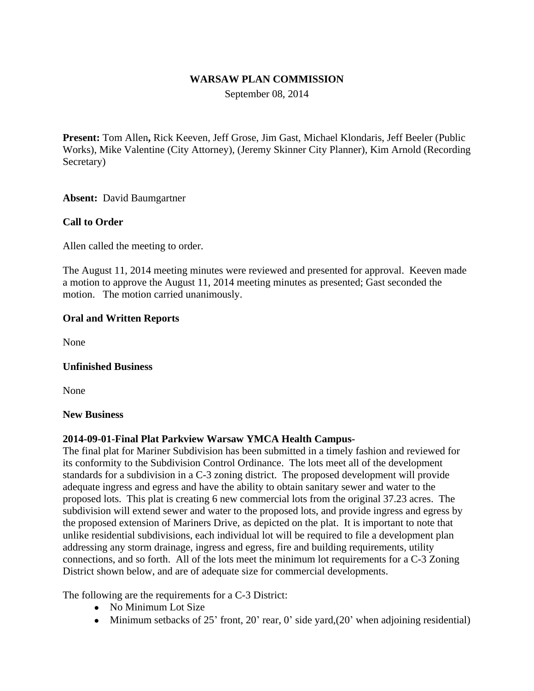## **WARSAW PLAN COMMISSION**

September 08, 2014

**Present:** Tom Allen**,** Rick Keeven, Jeff Grose, Jim Gast, Michael Klondaris, Jeff Beeler (Public Works), Mike Valentine (City Attorney), (Jeremy Skinner City Planner), Kim Arnold (Recording Secretary)

**Absent:** David Baumgartner

# **Call to Order**

Allen called the meeting to order.

The August 11, 2014 meeting minutes were reviewed and presented for approval. Keeven made a motion to approve the August 11, 2014 meeting minutes as presented; Gast seconded the motion. The motion carried unanimously.

#### **Oral and Written Reports**

None

#### **Unfinished Business**

None

#### **New Business**

#### **2014-09-01-Final Plat Parkview Warsaw YMCA Health Campus-**

The final plat for Mariner Subdivision has been submitted in a timely fashion and reviewed for its conformity to the Subdivision Control Ordinance. The lots meet all of the development standards for a subdivision in a C-3 zoning district. The proposed development will provide adequate ingress and egress and have the ability to obtain sanitary sewer and water to the proposed lots. This plat is creating 6 new commercial lots from the original 37.23 acres. The subdivision will extend sewer and water to the proposed lots, and provide ingress and egress by the proposed extension of Mariners Drive, as depicted on the plat. It is important to note that unlike residential subdivisions, each individual lot will be required to file a development plan addressing any storm drainage, ingress and egress, fire and building requirements, utility connections, and so forth. All of the lots meet the minimum lot requirements for a C-3 Zoning District shown below, and are of adequate size for commercial developments.

The following are the requirements for a C-3 District:

- No Minimum Lot Size
- $\bullet$  Minimum setbacks of 25' front, 20' rear, 0' side yard, (20' when adjoining residential)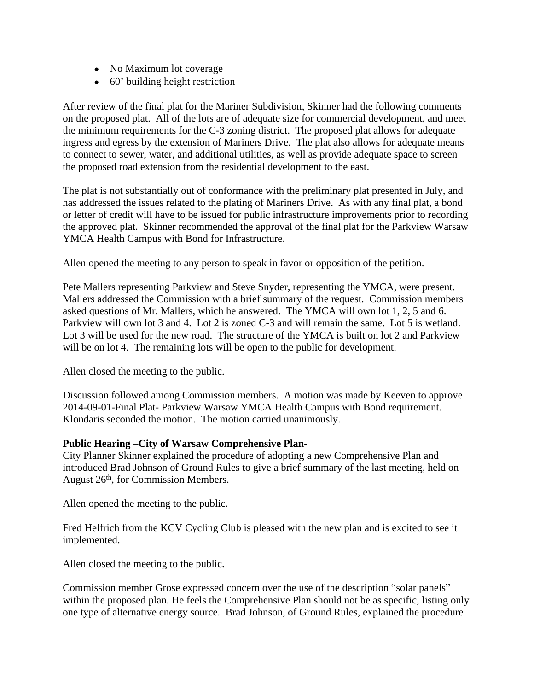- No Maximum lot coverage
- 60' building height restriction

After review of the final plat for the Mariner Subdivision, Skinner had the following comments on the proposed plat. All of the lots are of adequate size for commercial development, and meet the minimum requirements for the C-3 zoning district. The proposed plat allows for adequate ingress and egress by the extension of Mariners Drive. The plat also allows for adequate means to connect to sewer, water, and additional utilities, as well as provide adequate space to screen the proposed road extension from the residential development to the east.

The plat is not substantially out of conformance with the preliminary plat presented in July, and has addressed the issues related to the plating of Mariners Drive. As with any final plat, a bond or letter of credit will have to be issued for public infrastructure improvements prior to recording the approved plat. Skinner recommended the approval of the final plat for the Parkview Warsaw YMCA Health Campus with Bond for Infrastructure.

Allen opened the meeting to any person to speak in favor or opposition of the petition.

Pete Mallers representing Parkview and Steve Snyder, representing the YMCA, were present. Mallers addressed the Commission with a brief summary of the request. Commission members asked questions of Mr. Mallers, which he answered. The YMCA will own lot 1, 2, 5 and 6. Parkview will own lot 3 and 4. Lot 2 is zoned C-3 and will remain the same. Lot 5 is wetland. Lot 3 will be used for the new road. The structure of the YMCA is built on lot 2 and Parkview will be on lot 4. The remaining lots will be open to the public for development.

Allen closed the meeting to the public.

Discussion followed among Commission members. A motion was made by Keeven to approve 2014-09-01-Final Plat- Parkview Warsaw YMCA Health Campus with Bond requirement. Klondaris seconded the motion. The motion carried unanimously.

#### **Public Hearing –City of Warsaw Comprehensive Plan**-

City Planner Skinner explained the procedure of adopting a new Comprehensive Plan and introduced Brad Johnson of Ground Rules to give a brief summary of the last meeting, held on August 26th, for Commission Members.

Allen opened the meeting to the public.

Fred Helfrich from the KCV Cycling Club is pleased with the new plan and is excited to see it implemented.

Allen closed the meeting to the public.

Commission member Grose expressed concern over the use of the description "solar panels" within the proposed plan. He feels the Comprehensive Plan should not be as specific, listing only one type of alternative energy source. Brad Johnson, of Ground Rules, explained the procedure